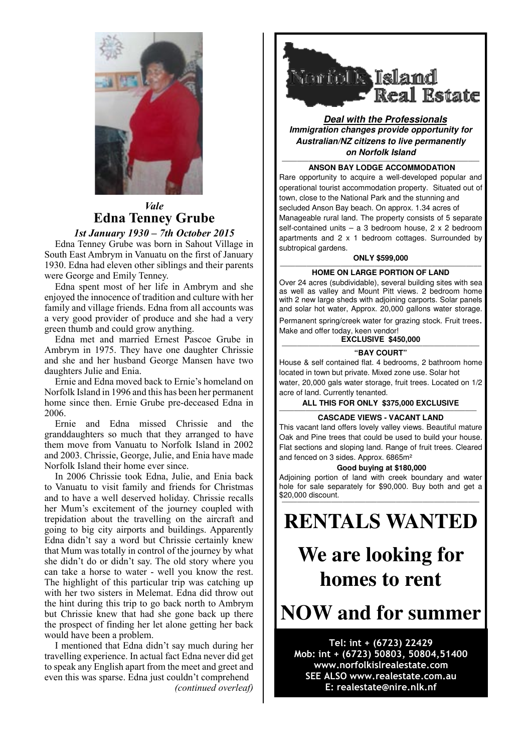

## *Vale* **Edna Tenney Grube**

## **1st January 1930 – 7th October 2015**

 $\text{Edna}$  Tenney Grube was born in Sahout Village in South East Ambrym in Vanuatu on the first of January 1930. Edna had eleven other siblings and their parents  $\parallel$ were George and Emily Tenney.

Edna spent most of her life in Ambrym and she enjoyed the innocence of tradition and culture with her  $\parallel$  and with 2 new large sheds with family and village friends. Edna from all accounts was and solar hot water, Approx a very good provider of produce and she had a very a very good provider of produce and a green thumb and could grow anything.

Edna met and married Ernest Pascoe Grube in Ambrym in 1975. They have one daughter Chrissie  $\parallel \parallel$   $\parallel$   $\parallel$ and she and her husband George Mansen have two daughters Julie and Enia.

Ernie and Edna moved back to Ernie's homeland on  $\blacksquare$  water, 20,000 gals water Norfolk Island in 1996 and this has been her permanent home since then. Ernie Grube pre-deceased Edna in permanent home since then. Ernie Grube pre-deceased Edna in 2006. 2006.

Ernie and Edna missed Chrissie and the  $\left| \begin{array}{c} \phantom{ \mid} \end{array} \right|$  This vacant land offers granddaughters so much that they arranged to have  $\int_{\text{Oak and Pine trees that could} }$ them move from Vanuatu to Norfolk Island in 2002 and 2003. Chrissie, George, Julie, and Enia have made Norfolk Island their home ever since.

NOTIOIK ISIand their nome ever since.<br>In 2006 Chrissie took Edna, Julie, and Enia back Adjoining portion of land wi In 2000 Chrissie took Edita, June, and Etha back<br>to Vanuatu to visit family and friends for Christmas and to have a well deserved holiday. Chrissie recalls  $\frac{$20,000$ discount.}$ her Mum's excitement of the journey coupled with Apparently Edna didn't say a word but Chrissie certainly knew that Mum was totally in control of the trepidation about the travelling on the aircraft and  $\|\cdot\|$  **RENTALS** going to big city airports and buildings. Apparently  $\begin{bmatrix} \begin{array}{c} \end{array} \end{bmatrix}$ Edna didn't say a word but Chrissie certainly knew  $\begin{bmatrix} 1 & 1 \\ 1 & 1 \end{bmatrix}$ that Mum was totally in control of the journey by what  $\mathbf{w}_{e}$  are lo she didn't do or didn't say. The old story where you can take a horse to water - well you know the rest. The highlight of this particular trip was catching up with her two sisters in Melemat. Edna did throw out  $\parallel$ the hint during this trip to go back north to Ambrym  $\left| \right|$ but Chrissie knew that had she gone back up there  $\parallel$  NOW an the prospect of finding her let alone getting her back would have been a problem.

> I mentioned that Edna didn't say much during her travelling experience. In actual fact Edna never did get to speak any English apart from the meet and greet and even this was sparse. Edna just couldn't comprehend *(continued overleaf)*



**Deal with the Professionals Immigration changes provide opportunity for Australian/NZ citizens to live permanently on Norfolk Island**

#### **———————————————————————————————————————————————————— ANSON BAY LODGE ACCOMMODATION**

Rare opportunity to acquire a well-developed popular and operational tourist accommodation property. Situated out of town, close to the National Park and the stunning and secluded Anson Bay beach. On approx. 1.34 acres of Manageable rural land. The property consists of 5 separate self-contained units – a 3 bedroom house,  $2 \times 2$  bedroom apartments and 2 x 1 bedroom cottages. Surrounded by subtropical gardens.

### **ONLY \$599,000**

### **HOME ON LARGE PORTION OF LAND**

Over 24 acres (subdividable), several building sites with sea as well as valley and Mount Pitt views. 2 bedroom home with 2 new large sheds with adjoining carports. Solar panels and solar hot water, Approx. 20,000 gallons water storage.

Permanent spring/creek water for grazing stock. Fruit trees. Make and offer today, keen vendor!

#### **EXCLUSIVE \$450,000 ————————————————————————————————————————————————————**

## **"BAY COURT"**

House & self contained flat. 4 bedrooms, 2 bathroom home located in town but private. Mixed zone use. Solar hot water, 20,000 gals water storage, fruit trees. Located on 1/2 acre of land. Currently tenanted.

## **ALL THIS FOR ONLY \$375,000 EXCLUSIVE**

## **EXAMPLE CASCADE VIEWS - VACANT LAND CASCADE VIEWS - VACANT LAND**

This vacant land offers lovely valley views. Beautiful mature Oak and Pine trees that could be used to build your house. Flat sections and sloping land. Range of fruit trees. Cleared and fenced on 3 sides. Approx. 6865m²

### **Good buying at \$180,000**

Adjoining portion of land with creek boundary and water hole for sale separately for \$90,000. Buy both and get a \$20,000 discount. **————————————————————————————————————————————————————**

# **RENTALS WANTED**

# **We are looking for homes to rent**

## **NOW and for summer**

## Tel: int + (6723) 22429 Mob: int + (6723) 50803, 50804,51400 www.norfolkislrealestate.com SEE ALSO www.realestate.com.au E: realestate@nire.nlk.nf